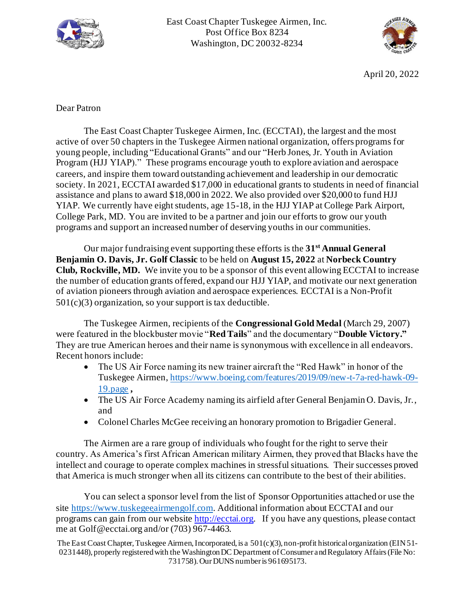



April 20, 2022

#### Dear Patron

The East Coast Chapter Tuskegee Airmen, Inc. (ECCTAI), the largest and the most active of over 50 chapters in the Tuskegee Airmen national organization, offers programs for young people, including "Educational Grants" and our "Herb Jones, Jr. Youth in Aviation Program (HJJ YIAP)." These programs encourage youth to explore aviation and aerospace careers, and inspire them toward outstanding achievement and leadership in our democratic society. In 2021, ECCTAI awarded \$17,000 in educational grants to students in need of financial assistance and plans to award \$18,000 in 2022. We also provided over \$20,000 to fund HJJ YIAP. We currently have eight students, age 15-18, in the HJJ YIAP at College Park Airport, College Park, MD. You are invited to be a partner and join our efforts to grow our youth programs and support an increased number of deserving youths in our communities.

Our major fundraising event supporting these efforts is the **31st Annual General Benjamin O. Davis, Jr. Golf Classic** to be held on **August 15, 2022** at **Norbeck Country Club, Rockville, MD.** We invite you to be a sponsor of this event allowing ECCTAI to increase the number of education grants offered, expand our HJJ YIAP, and motivate our next generation of aviation pioneers through aviation and aerospace experiences. ECCTAI is a Non-Profit 501(c)(3) organization, so your support is tax deductible.

The Tuskegee Airmen, recipients of the **Congressional Gold Medal** (March 29, 2007) were featured in the blockbuster movie "**Red Tails**" and the documentary "**Double Victory."** They are true American heroes and their name is synonymous with excellence in all endeavors. Recent honors include:

- The US Air Force naming its new trainer aircraft the "Red Hawk" in honor of the Tuskegee Airmen, [https://www.boeing.com/features/2019/09/new-t-7a-red-hawk-09-](https://www.boeing.com/features/2019/09/new-t-7a-red-hawk-09-19.page) [19.page](https://www.boeing.com/features/2019/09/new-t-7a-red-hawk-09-19.page) **,**
- The US Air Force Academy naming its airfield after General Benjamin O. Davis, Jr., and
- Colonel Charles McGee receiving an honorary promotion to Brigadier General.

The Airmen are a rare group of individuals who fought for the right to serve their country. As America's first African American military Airmen, they proved that Blacks have the intellect and courage to operate complex machines in stressful situations. Their successes proved that America is much stronger when all its citizens can contribute to the best of their abilities.

You can select a sponsor level from the list of Sponsor Opportunities attached or use the site [https://www.tuskegeeairmengolf.com.](https://www.tuskegeeairmengolf.com/) Additional information about ECCTAI and our programs can gain from our websit[e http://ecctai.org](http://ecctai.org/). If you have any questions, please contact me at Golf@ecctai.org and/or (703) 967-4463.

The East Coast Chapter, Tuskegee Airmen, Incorporated, is a 501(c)(3), non-profit historical organization (EIN 51- 0231448), properly registered with the Washington DC Department of Consumer and Regulatory Affairs (File No: 731758). Our DUNS number is 961695173.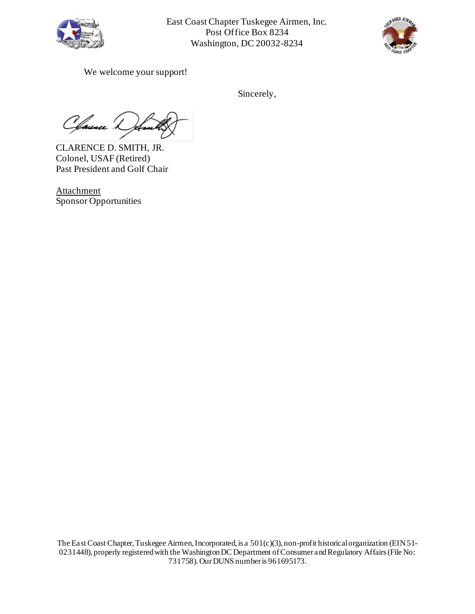



We welcome your support!

Sincerely,

C faunce L

CLARENCE D. SMITH, JR. Colonel, USAF (Retired) Past President and Golf Chair

Attachment Sponsor Opportunities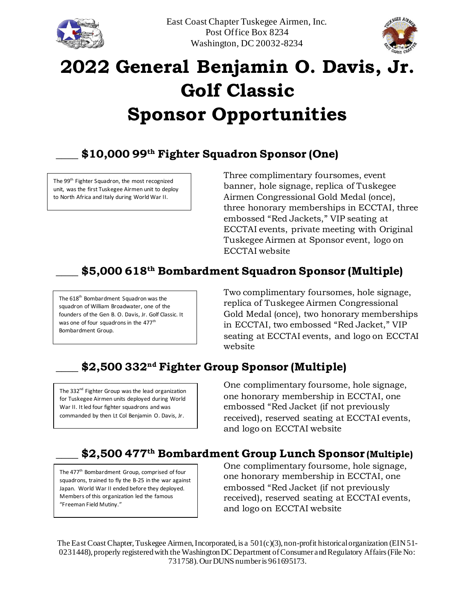



# **2022 General Benjamin O. Davis, Jr. Golf Classic Sponsor Opportunities**

#### **\_\_\_\_ \$10,000 99th Fighter Squadron Sponsor (One)**

The 99<sup>th</sup> Fighter Squadron, the most recognized unit, was the first Tuskegee Airmen unit to deploy to North Africa and Italy during World War II.

Three complimentary foursomes, event banner, hole signage, replica of Tuskegee Airmen Congressional Gold Medal (once), three honorary memberships in ECCTAI, three embossed "Red Jackets," VIP seating at ECCTAI events, private meeting with Original Tuskegee Airmen at Sponsor event, logo on ECCTAI website

### **\_\_\_\_ \$5,000 618th Bombardment Squadron Sponsor (Multiple)**

The 618<sup>th</sup> Bombardment Squadron was the squadron of William Broadwater, one of the founders of the Gen B. O. Davis, Jr. Golf Classic. It was one of four squadrons in the 477<sup>th</sup> Bombardment Group.

Two complimentary foursomes, hole signage, replica of Tuskegee Airmen Congressional Gold Medal (once), two honorary memberships in ECCTAI, two embossed "Red Jacket," VIP seating at ECCTAI events, and logo on ECCTAI website

### **\_\_\_\_ \$2,500 332nd Fighter Group Sponsor (Multiple)**

The 332<sup>nd</sup> Fighter Group was the lead organization for Tuskegee Airmen units deployed during World War II. It led four fighter squadrons and was commanded by then Lt Col Benjamin O. Davis, Jr.

One complimentary foursome, hole signage, one honorary membership in ECCTAI, one embossed "Red Jacket (if not previously received), reserved seating at ECCTAI events, and logo on ECCTAI website

#### **\_\_\_\_ \$2,500 477th Bombardment Group Lunch Sponsor (Multiple)**

The 477<sup>th</sup> Bombardment Group, comprised of four squadrons, trained to fly the B-25 in the war against Japan. World War II ended before they deployed. Members of this organization led the famous "Freeman Field Mutiny."

One complimentary foursome, hole signage, one honorary membership in ECCTAI, one embossed "Red Jacket (if not previously received), reserved seating at ECCTAI events, and logo on ECCTAI website

The East Coast Chapter, Tuskegee Airmen, Incorporated, is a 501(c)(3), non-profit historical organization (EIN 51- 0231448), properly registered with the Washington DC Department of Consumer and Regulatory Affairs (File No: 731758). Our DUNS number is 961695173.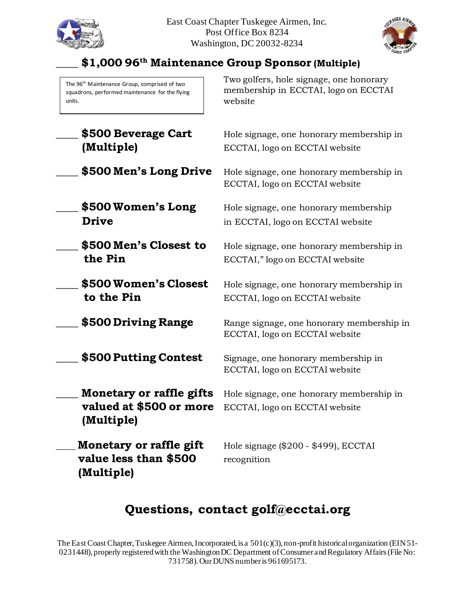



## **\_\_\_\_ \$1,000 96th Maintenance Group Sponsor (Multiple)**

The 96<sup>th</sup> Maintenance Group, comprised of two squadrons, performed maintenance for the flying units.

Two golfers, hole signage, one honorary membership in ECCTAI, logo on ECCTAI website

| \$500 Beverage Cart<br>(Multiple)                                 | Hole signage, one honorary membership in<br>ECCTAI, logo on ECCTAI website  |
|-------------------------------------------------------------------|-----------------------------------------------------------------------------|
| \$500 Men's Long Drive                                            | Hole signage, one honorary membership in<br>ECCTAI, logo on ECCTAI website  |
| \$500 Women's Long<br><b>Drive</b>                                | Hole signage, one honorary membership<br>in ECCTAI, logo on ECCTAI website  |
| \$500 Men's Closest to<br>the Pin                                 | Hole signage, one honorary membership in<br>ECCTAI," logo on ECCTAI website |
| \$500 Women's Closest<br>to the Pin                               | Hole signage, one honorary membership in<br>ECCTAI, logo on ECCTAI website  |
| \$500 Driving Range                                               | Range signage, one honorary membership in<br>ECCTAI, logo on ECCTAI website |
| \$500 Putting Contest                                             | Signage, one honorary membership in<br>ECCTAI, logo on ECCTAI website       |
| Monetary or raffle gifts<br>valued at \$500 or more<br>(Multiple) | Hole signage, one honorary membership in<br>ECCTAI, logo on ECCTAI website  |
| Monetary or raffle gift<br>value less than \$500<br>(Multiple)    | Hole signage (\$200 - \$499), ECCTAI<br>recognition                         |

## **Questions, contact golf@ecctai.org**

The East Coast Chapter, Tuskegee Airmen, Incorporated, is a 501(c)(3), non-profit historical organization (EIN 51-0231448), properly registered with the Washington DC Department of Consumer and Regulatory Affairs (File No: 731758). Our DUNS number is 961695173.